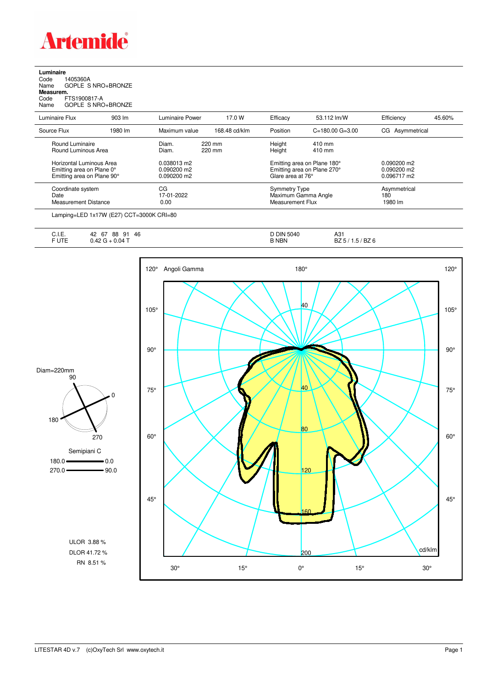

**Luminaire**<br>Code 1<br>Name ( Code 1405360A Name GOPLE S NRO+BRONZE **Measurem.**

Code FTS1900817-A Name GOPLE S NRO+BRONZE

| Luminaire Power<br>Maximum value<br>220 mm<br>Diam.<br>220 mm<br>Diam. | 17.0 W<br>168.48 cd/klm                  | Efficacy<br>Position | 53.112 lm/W<br>$C = 180.00$ G=3.00 | Efficiency<br>CG Asymmetrical                                                                                                                             | 45.60% |
|------------------------------------------------------------------------|------------------------------------------|----------------------|------------------------------------|-----------------------------------------------------------------------------------------------------------------------------------------------------------|--------|
|                                                                        |                                          |                      |                                    |                                                                                                                                                           |        |
|                                                                        |                                          |                      |                                    |                                                                                                                                                           |        |
|                                                                        |                                          | Height<br>Height     | 410 mm<br>410 mm                   |                                                                                                                                                           |        |
| 0.038013 m2<br>$0.090200$ m2<br>0.090200 m2                            |                                          |                      |                                    | $0.090200$ m2<br>$0.090200$ m2<br>0.096717 m2                                                                                                             |        |
| CG<br>17-01-2022<br>0.00                                               |                                          |                      |                                    | Asymmetrical<br>180<br>1980 lm                                                                                                                            |        |
|                                                                        | Lamping=LED 1x17W (E27) CCT=3000K CRI=80 |                      |                                    | Emitting area on Plane 180°<br>Emitting area on Plane 270°<br>Glare area at 76°<br><b>Symmetry Type</b><br>Maximum Gamma Angle<br><b>Measurement Flux</b> |        |

| ◡…         | 46<br>$\sim$<br>88<br>42<br>Q1<br>$\sigma$<br>ืีี | <b>D DIN 5040</b> | $\mathbf{A}$<br>$\cdots$<br>ا ت∧   |
|------------|---------------------------------------------------|-------------------|------------------------------------|
| <b>UTE</b> | $+0.04$ $-$<br>v.+2<br>∼                          | <b>B NBN</b>      | BZ <sub>6</sub><br>DZ<br>ں. ا<br>ັ |